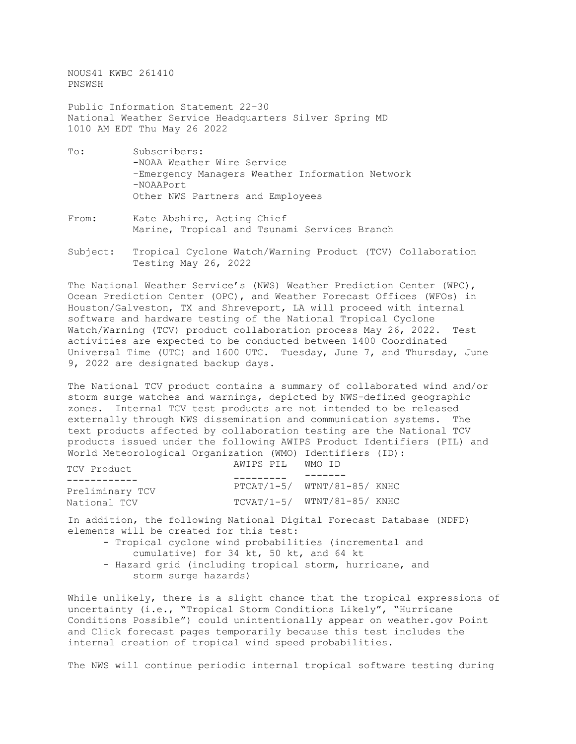NOUS41 KWBC 261410 PNSWSH

Public Information Statement 22-30 National Weather Service Headquarters Silver Spring MD 1010 AM EDT Thu May 26 2022

- To: Subscribers: -NOAA Weather Wire Service -Emergency Managers Weather Information Network -NOAAPort Other NWS Partners and Employees
- From: Kate Abshire, Acting Chief Marine, Tropical and Tsunami Services Branch
- Subject: Tropical Cyclone Watch/Warning Product (TCV) Collaboration Testing May 26, 2022

The National Weather Service's (NWS) Weather Prediction Center (WPC), Ocean Prediction Center (OPC), and Weather Forecast Offices (WFOs) in Houston/Galveston, TX and Shreveport, LA will proceed with internal software and hardware testing of the National Tropical Cyclone Watch/Warning (TCV) product collaboration process May 26, 2022. Test activities are expected to be conducted between 1400 Coordinated Universal Time (UTC) and 1600 UTC. Tuesday, June 7, and Thursday, June 9, 2022 are designated backup days.

The National TCV product contains a summary of collaborated wind and/or storm surge watches and warnings, depicted by NWS-defined geographic zones. Internal TCV test products are not intended to be released externally through NWS dissemination and communication systems. The text products affected by collaboration testing are the National TCV products issued under the following AWIPS Product Identifiers (PIL) and World Meteorological Organization (WMO) Identifiers (ID):

| TCV Product     | AWIPS PIL | WMO TD                        |
|-----------------|-----------|-------------------------------|
|                 |           |                               |
| Preliminary TCV |           | $PTCAT/1-5/ WINT/81-85/ KNHC$ |
| National TCV    |           | $TCVAT/1-5/ WINT/81-85/ KNHC$ |

In addition, the following National Digital Forecast Database (NDFD) elements will be created for this test:

- Tropical cyclone wind probabilities (incremental and cumulative) for 34 kt, 50 kt, and 64 kt
- Hazard grid (including tropical storm, hurricane, and storm surge hazards)

While unlikely, there is a slight chance that the tropical expressions of uncertainty (i.e., "Tropical Storm Conditions Likely", "Hurricane Conditions Possible") could unintentionally appear on weather.gov Point and Click forecast pages temporarily because this test includes the internal creation of tropical wind speed probabilities.

The NWS will continue periodic internal tropical software testing during